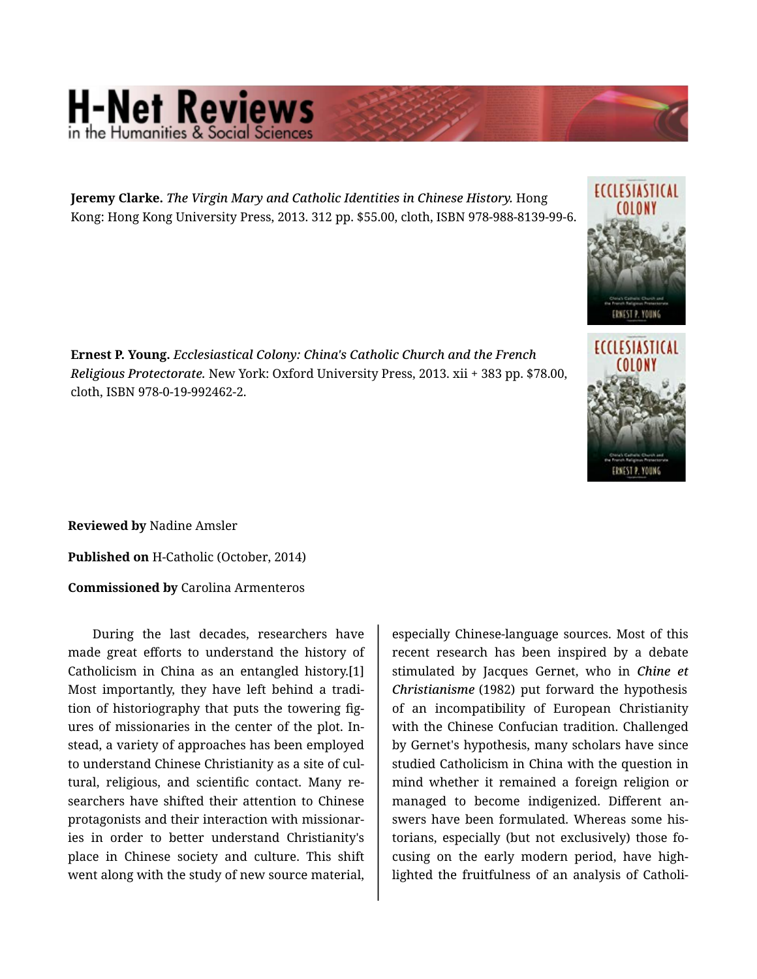## **H-Net Reviews** in the Humanities & Social Scie

**Jeremy Clarke.** *The Virgin Mary and Catholic Identities in Chinese History.* Hong Kong: Hong Kong University Press, 2013. 312 pp. \$55.00, cloth, ISBN 978-988-8139-99-6.





**Ernest P. Young.** *Ecclesiastical Colony: China's Catholic Church and the French Religious Protectorate.* New York: Oxford University Press, 2013. xii + 383 pp. \$78.00, cloth, ISBN 978-0-19-992462-2.

**Reviewed by** Nadine Amsler

**Published on** H-Catholic (October, 2014)

**Commissioned by** Carolina Armenteros

During the last decades, researchers have made great efforts to understand the history of Catholicism in China as an entangled history.[1] Most importantly, they have left behind a tradi‐ tion of historiography that puts the towering fig‐ ures of missionaries in the center of the plot. In‐ stead, a variety of approaches has been employed to understand Chinese Christianity as a site of cul‐ tural, religious, and scientific contact. Many re‐ searchers have shifted their attention to Chinese protagonists and their interaction with missionar‐ ies in order to better understand Christianity's place in Chinese society and culture. This shift went along with the study of new source material,

especially Chinese-language sources. Most of this recent research has been inspired by a debate stimulated by Jacques Gernet, who in *Chine et Christianisme* (1982) put forward the hypothesis of an incompatibility of European Christianity with the Chinese Confucian tradition. Challenged by Gernet's hypothesis, many scholars have since studied Catholicism in China with the question in mind whether it remained a foreign religion or managed to become indigenized. Different an‐ swers have been formulated. Whereas some his‐ torians, especially (but not exclusively) those fo‐ cusing on the early modern period, have high‐ lighted the fruitfulness of an analysis of Catholi‐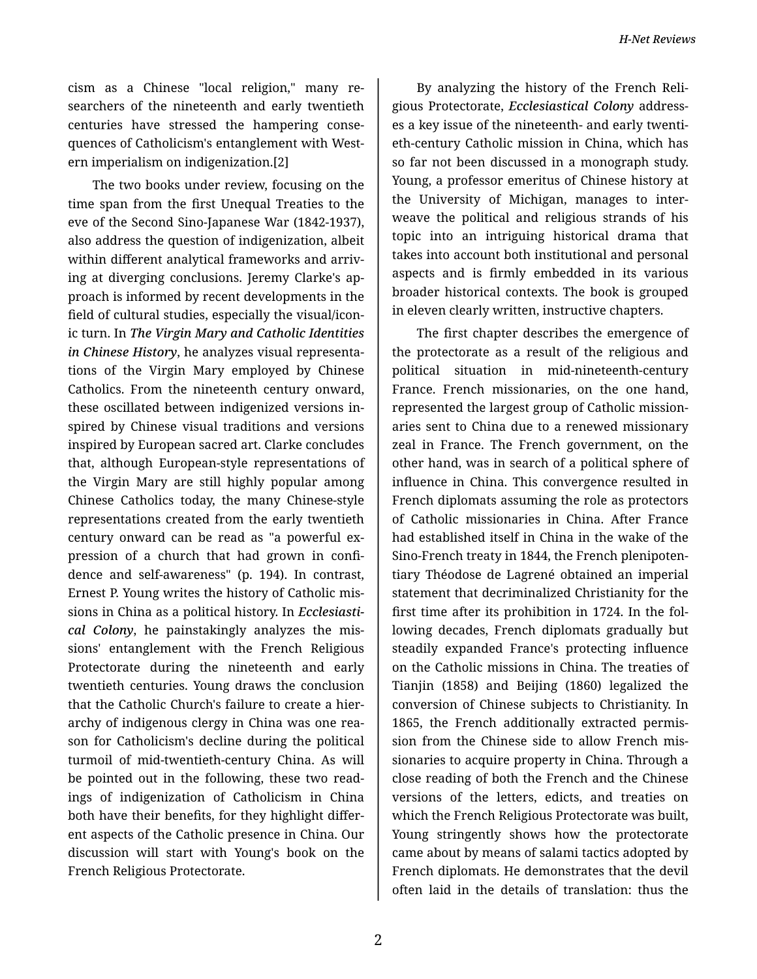*H-Net Reviews*

cism as a Chinese "local religion," many re‐ searchers of the nineteenth and early twentieth centuries have stressed the hampering conse‐ quences of Catholicism's entanglement with West‐ ern imperialism on indigenization.[2]

The two books under review, focusing on the time span from the first Unequal Treaties to the eve of the Second Sino-Japanese War (1842-1937), also address the question of indigenization, albeit within different analytical frameworks and arriv‐ ing at diverging conclusions. Jeremy Clarke's ap‐ proach is informed by recent developments in the field of cultural studies, especially the visual/icon‐ ic turn. In *The Virgin Mary and Catholic Identities in Chinese History*, he analyzes visual representa‐ tions of the Virgin Mary employed by Chinese Catholics. From the nineteenth century onward, these oscillated between indigenized versions in‐ spired by Chinese visual traditions and versions inspired by European sacred art. Clarke concludes that, although European-style representations of the Virgin Mary are still highly popular among Chinese Catholics today, the many Chinese-style representations created from the early twentieth century onward can be read as "a powerful ex‐ pression of a church that had grown in confi‐ dence and self-awareness" (p. 194). In contrast, Ernest P. Young writes the history of Catholic mis‐ sions in China as a political history. In *Ecclesiasti‐ cal Colony*, he painstakingly analyzes the mis‐ sions' entanglement with the French Religious Protectorate during the nineteenth and early twentieth centuries. Young draws the conclusion that the Catholic Church's failure to create a hier‐ archy of indigenous clergy in China was one rea‐ son for Catholicism's decline during the political turmoil of mid-twentieth-century China. As will be pointed out in the following, these two read‐ ings of indigenization of Catholicism in China both have their benefits, for they highlight differ‐ ent aspects of the Catholic presence in China. Our discussion will start with Young's book on the French Religious Protectorate.

By analyzing the history of the French Reli‐ gious Protectorate, *Ecclesiastical Colony* address‐ es a key issue of the nineteenth- and early twenti‐ eth-century Catholic mission in China, which has so far not been discussed in a monograph study. Young, a professor emeritus of Chinese history at the University of Michigan, manages to inter‐ weave the political and religious strands of his topic into an intriguing historical drama that takes into account both institutional and personal aspects and is firmly embedded in its various broader historical contexts. The book is grouped in eleven clearly written, instructive chapters.

The first chapter describes the emergence of the protectorate as a result of the religious and political situation in mid-nineteenth-century France. French missionaries, on the one hand, represented the largest group of Catholic mission‐ aries sent to China due to a renewed missionary zeal in France. The French government, on the other hand, was in search of a political sphere of influence in China. This convergence resulted in French diplomats assuming the role as protectors of Catholic missionaries in China. After France had established itself in China in the wake of the Sino-French treaty in 1844, the French plenipoten‐ tiary Théodose de Lagrené obtained an imperial statement that decriminalized Christianity for the first time after its prohibition in 1724. In the fol‐ lowing decades, French diplomats gradually but steadily expanded France's protecting influence on the Catholic missions in China. The treaties of Tianjin (1858) and Beijing (1860) legalized the conversion of Chinese subjects to Christianity. In 1865, the French additionally extracted permis‐ sion from the Chinese side to allow French mis‐ sionaries to acquire property in China. Through a close reading of both the French and the Chinese versions of the letters, edicts, and treaties on which the French Religious Protectorate was built, Young stringently shows how the protectorate came about by means of salami tactics adopted by French diplomats. He demonstrates that the devil often laid in the details of translation: thus the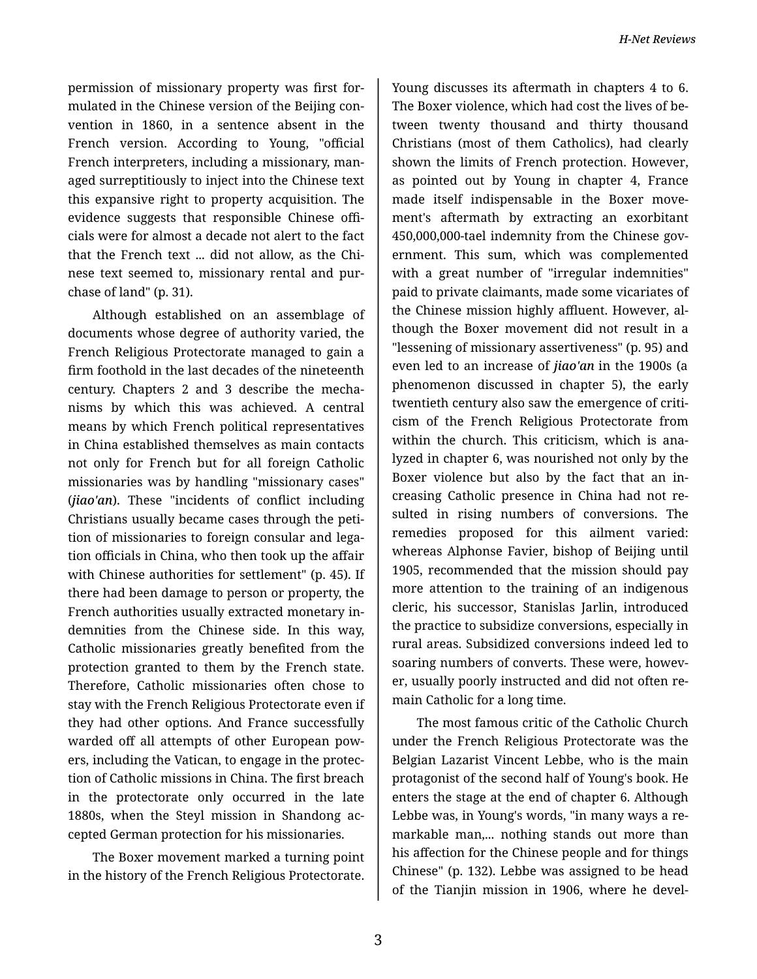permission of missionary property was first for‐ mulated in the Chinese version of the Beijing con‐ vention in 1860, in a sentence absent in the French version. According to Young, "official French interpreters, including a missionary, man‐ aged surreptitiously to inject into the Chinese text this expansive right to property acquisition. The evidence suggests that responsible Chinese offi‐ cials were for almost a decade not alert to the fact that the French text ... did not allow, as the Chi‐ nese text seemed to, missionary rental and pur‐ chase of land" (p. 31).

Although established on an assemblage of documents whose degree of authority varied, the French Religious Protectorate managed to gain a firm foothold in the last decades of the nineteenth century. Chapters 2 and 3 describe the mecha‐ nisms by which this was achieved. A central means by which French political representatives in China established themselves as main contacts not only for French but for all foreign Catholic missionaries was by handling "missionary cases" (*jiao'an*). These "incidents of conflict including Christians usually became cases through the peti‐ tion of missionaries to foreign consular and lega‐ tion officials in China, who then took up the affair with Chinese authorities for settlement" (p. 45). If there had been damage to person or property, the French authorities usually extracted monetary in‐ demnities from the Chinese side. In this way, Catholic missionaries greatly benefited from the protection granted to them by the French state. Therefore, Catholic missionaries often chose to stay with the French Religious Protectorate even if they had other options. And France successfully warded off all attempts of other European pow‐ ers, including the Vatican, to engage in the protec‐ tion of Catholic missions in China. The first breach in the protectorate only occurred in the late 1880s, when the Steyl mission in Shandong ac‐ cepted German protection for his missionaries.

The Boxer movement marked a turning point in the history of the French Religious Protectorate.

Young discusses its aftermath in chapters 4 to 6. The Boxer violence, which had cost the lives of be‐ tween twenty thousand and thirty thousand Christians (most of them Catholics), had clearly shown the limits of French protection. However, as pointed out by Young in chapter 4, France made itself indispensable in the Boxer movement's aftermath by extracting an exorbitant 450,000,000-tael indemnity from the Chinese gov‐ ernment. This sum, which was complemented with a great number of "irregular indemnities" paid to private claimants, made some vicariates of the Chinese mission highly affluent. However, al‐ though the Boxer movement did not result in a "lessening of missionary assertiveness" (p. 95) and even led to an increase of *jiao'an* in the 1900s (a phenomenon discussed in chapter 5), the early twentieth century also saw the emergence of criti‐ cism of the French Religious Protectorate from within the church. This criticism, which is ana‐ lyzed in chapter 6, was nourished not only by the Boxer violence but also by the fact that an in‐ creasing Catholic presence in China had not re‐ sulted in rising numbers of conversions. The remedies proposed for this ailment varied: whereas Alphonse Favier, bishop of Beijing until 1905, recommended that the mission should pay more attention to the training of an indigenous cleric, his successor, Stanislas Jarlin, introduced the practice to subsidize conversions, especially in rural areas. Subsidized conversions indeed led to soaring numbers of converts. These were, howev‐ er, usually poorly instructed and did not often re‐ main Catholic for a long time.

The most famous critic of the Catholic Church under the French Religious Protectorate was the Belgian Lazarist Vincent Lebbe, who is the main protagonist of the second half of Young's book. He enters the stage at the end of chapter 6. Although Lebbe was, in Young's words, "in many ways a re‐ markable man,... nothing stands out more than his affection for the Chinese people and for things Chinese" (p. 132). Lebbe was assigned to be head of the Tianjin mission in 1906, where he devel‐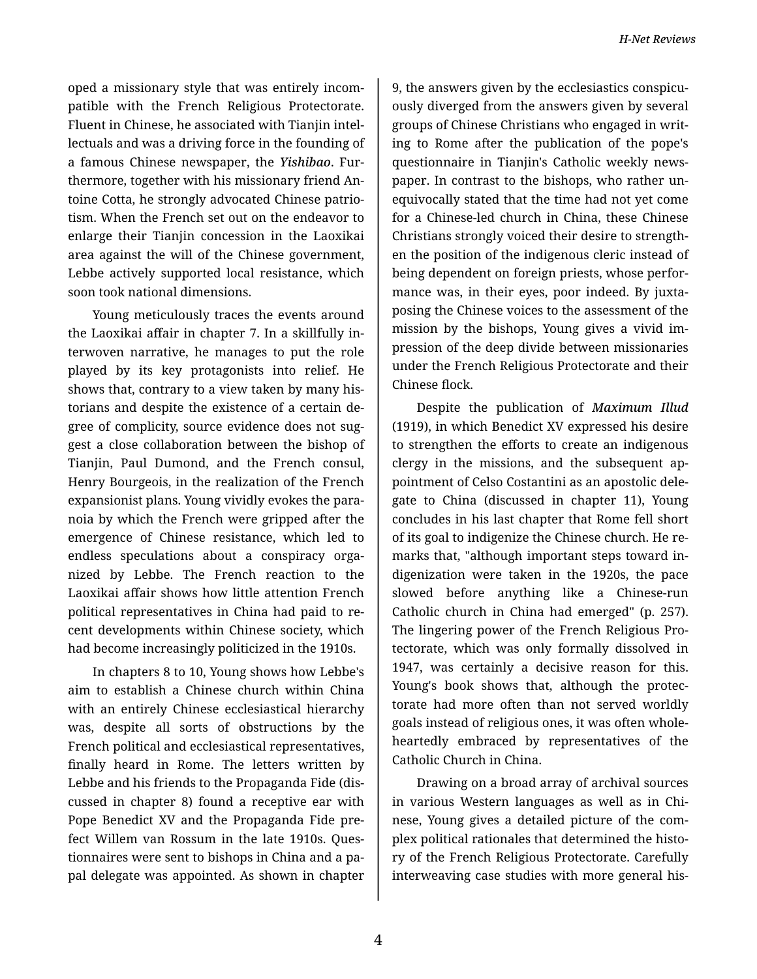oped a missionary style that was entirely incom‐ patible with the French Religious Protectorate. Fluent in Chinese, he associated with Tianjin intel‐ lectuals and was a driving force in the founding of a famous Chinese newspaper, the *Yishibao*. Fur‐ thermore, together with his missionary friend An‐ toine Cotta, he strongly advocated Chinese patrio‐ tism. When the French set out on the endeavor to enlarge their Tianjin concession in the Laoxikai area against the will of the Chinese government, Lebbe actively supported local resistance, which soon took national dimensions.

Young meticulously traces the events around the Laoxikai affair in chapter 7. In a skillfully in‐ terwoven narrative, he manages to put the role played by its key protagonists into relief. He shows that, contrary to a view taken by many his‐ torians and despite the existence of a certain de‐ gree of complicity, source evidence does not sug‐ gest a close collaboration between the bishop of Tianjin, Paul Dumond, and the French consul, Henry Bourgeois, in the realization of the French expansionist plans. Young vividly evokes the para‐ noia by which the French were gripped after the emergence of Chinese resistance, which led to endless speculations about a conspiracy orga‐ nized by Lebbe. The French reaction to the Laoxikai affair shows how little attention French political representatives in China had paid to re‐ cent developments within Chinese society, which had become increasingly politicized in the 1910s.

In chapters 8 to 10, Young shows how Lebbe's aim to establish a Chinese church within China with an entirely Chinese ecclesiastical hierarchy was, despite all sorts of obstructions by the French political and ecclesiastical representatives, finally heard in Rome. The letters written by Lebbe and his friends to the Propaganda Fide (dis‐ cussed in chapter 8) found a receptive ear with Pope Benedict XV and the Propaganda Fide pre‐ fect Willem van Rossum in the late 1910s. Ques‐ tionnaires were sent to bishops in China and a pa‐ pal delegate was appointed. As shown in chapter

9, the answers given by the ecclesiastics conspicu‐ ously diverged from the answers given by several groups of Chinese Christians who engaged in writ‐ ing to Rome after the publication of the pope's questionnaire in Tianjin's Catholic weekly news‐ paper. In contrast to the bishops, who rather un‐ equivocally stated that the time had not yet come for a Chinese-led church in China, these Chinese Christians strongly voiced their desire to strength‐ en the position of the indigenous cleric instead of being dependent on foreign priests, whose perfor‐ mance was, in their eyes, poor indeed. By juxta‐ posing the Chinese voices to the assessment of the mission by the bishops, Young gives a vivid im‐ pression of the deep divide between missionaries under the French Religious Protectorate and their Chinese flock.

Despite the publication of *Maximum Illud* (1919), in which Benedict XV expressed his desire to strengthen the efforts to create an indigenous clergy in the missions, and the subsequent ap‐ pointment of Celso Costantini as an apostolic dele‐ gate to China (discussed in chapter 11), Young concludes in his last chapter that Rome fell short of its goal to indigenize the Chinese church. He re‐ marks that, "although important steps toward in‐ digenization were taken in the 1920s, the pace slowed before anything like a Chinese-run Catholic church in China had emerged" (p. 257). The lingering power of the French Religious Pro‐ tectorate, which was only formally dissolved in 1947, was certainly a decisive reason for this. Young's book shows that, although the protec‐ torate had more often than not served worldly goals instead of religious ones, it was often whole‐ heartedly embraced by representatives of the Catholic Church in China.

Drawing on a broad array of archival sources in various Western languages as well as in Chi‐ nese, Young gives a detailed picture of the com‐ plex political rationales that determined the histo‐ ry of the French Religious Protectorate. Carefully interweaving case studies with more general his‐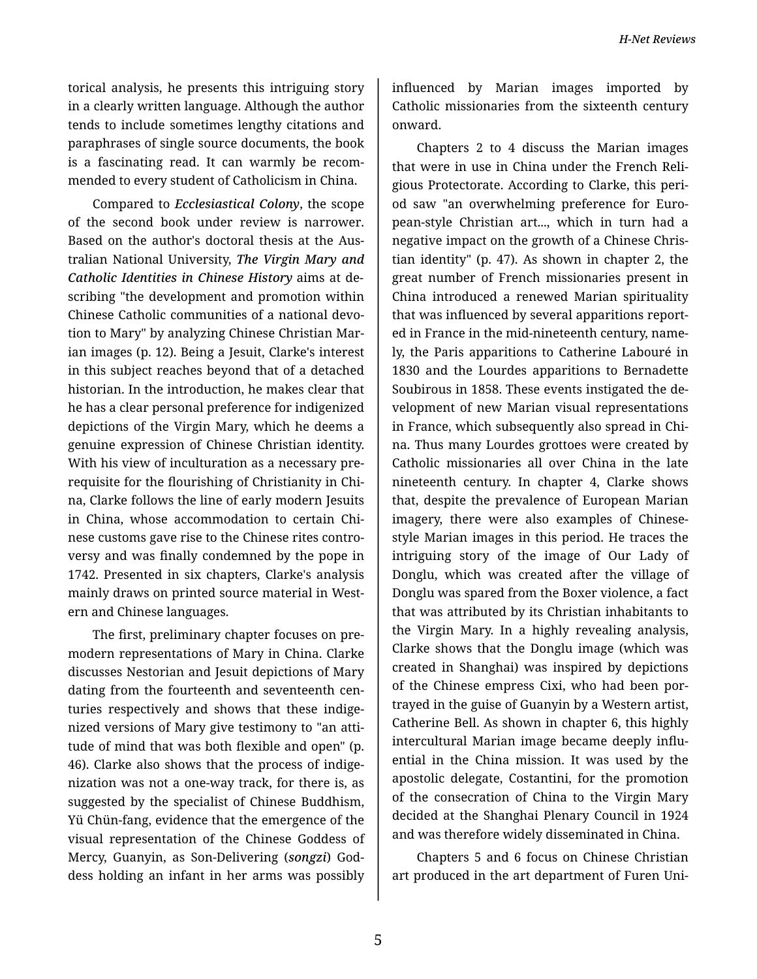torical analysis, he presents this intriguing story in a clearly written language. Although the author tends to include sometimes lengthy citations and paraphrases of single source documents, the book is a fascinating read. It can warmly be recom‐ mended to every student of Catholicism in China.

Compared to *Ecclesiastical Colony*, the scope of the second book under review is narrower. Based on the author's doctoral thesis at the Aus‐ tralian National University, *The Virgin Mary and Catholic Identities in Chinese History* aims at de‐ scribing "the development and promotion within Chinese Catholic communities of a national devo‐ tion to Mary" by analyzing Chinese Christian Mar‐ ian images (p. 12). Being a Jesuit, Clarke's interest in this subject reaches beyond that of a detached historian. In the introduction, he makes clear that he has a clear personal preference for indigenized depictions of the Virgin Mary, which he deems a genuine expression of Chinese Christian identity. With his view of inculturation as a necessary pre‐ requisite for the flourishing of Christianity in Chi‐ na, Clarke follows the line of early modern Jesuits in China, whose accommodation to certain Chi‐ nese customs gave rise to the Chinese rites contro‐ versy and was finally condemned by the pope in 1742. Presented in six chapters, Clarke's analysis mainly draws on printed source material in West‐ ern and Chinese languages.

The first, preliminary chapter focuses on pre‐ modern representations of Mary in China. Clarke discusses Nestorian and Jesuit depictions of Mary dating from the fourteenth and seventeenth cen‐ turies respectively and shows that these indige‐ nized versions of Mary give testimony to "an atti‐ tude of mind that was both flexible and open" (p. 46). Clarke also shows that the process of indige‐ nization was not a one-way track, for there is, as suggested by the specialist of Chinese Buddhism, Yü Chün-fang, evidence that the emergence of the visual representation of the Chinese Goddess of Mercy, Guanyin, as Son-Delivering (*songzi*) God‐ dess holding an infant in her arms was possibly influenced by Marian images imported by Catholic missionaries from the sixteenth century onward.

Chapters 2 to 4 discuss the Marian images that were in use in China under the French Reli‐ gious Protectorate. According to Clarke, this peri‐ od saw "an overwhelming preference for Euro‐ pean-style Christian art..., which in turn had a negative impact on the growth of a Chinese Chris‐ tian identity" (p. 47). As shown in chapter 2, the great number of French missionaries present in China introduced a renewed Marian spirituality that was influenced by several apparitions report‐ ed in France in the mid-nineteenth century, name‐ ly, the Paris apparitions to Catherine Labouré in 1830 and the Lourdes apparitions to Bernadette Soubirous in 1858. These events instigated the de‐ velopment of new Marian visual representations in France, which subsequently also spread in Chi‐ na. Thus many Lourdes grottoes were created by Catholic missionaries all over China in the late nineteenth century. In chapter 4, Clarke shows that, despite the prevalence of European Marian imagery, there were also examples of Chinesestyle Marian images in this period. He traces the intriguing story of the image of Our Lady of Donglu, which was created after the village of Donglu was spared from the Boxer violence, a fact that was attributed by its Christian inhabitants to the Virgin Mary. In a highly revealing analysis, Clarke shows that the Donglu image (which was created in Shanghai) was inspired by depictions of the Chinese empress Cixi, who had been por‐ trayed in the guise of Guanyin by a Western artist, Catherine Bell. As shown in chapter 6, this highly intercultural Marian image became deeply influ‐ ential in the China mission. It was used by the apostolic delegate, Costantini, for the promotion of the consecration of China to the Virgin Mary decided at the Shanghai Plenary Council in 1924 and was therefore widely disseminated in China.

Chapters 5 and 6 focus on Chinese Christian art produced in the art department of Furen Uni‐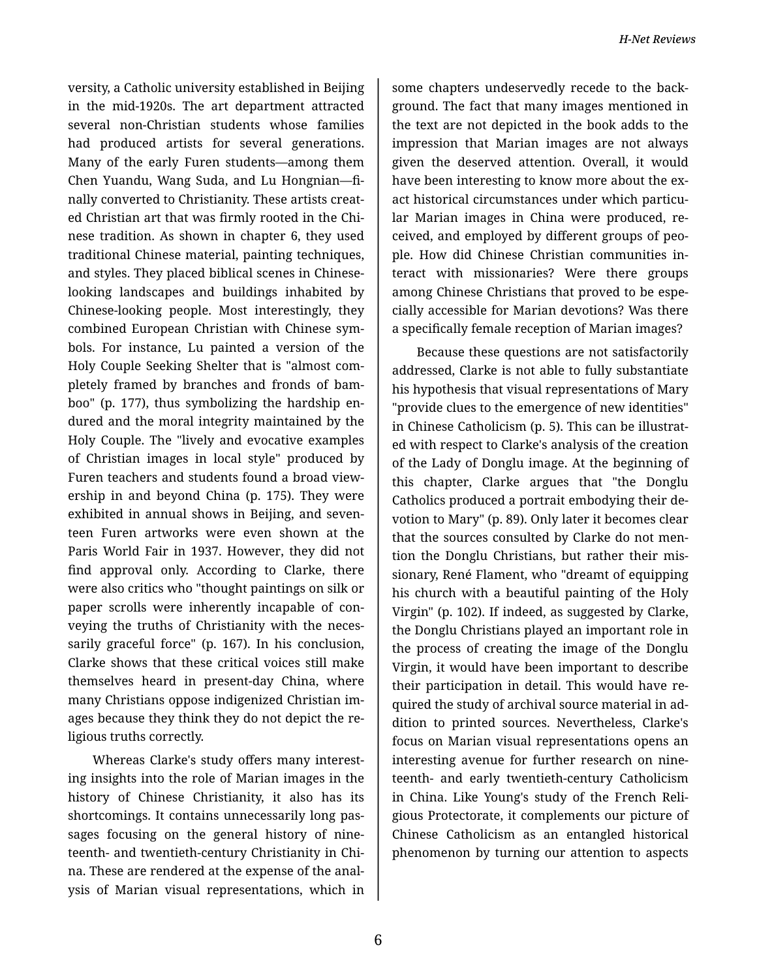versity, a Catholic university established in Beijing in the mid-1920s. The art department attracted several non-Christian students whose families had produced artists for several generations. Many of the early Furen students—among them Chen Yuandu, Wang Suda, and Lu Hongnian—fi‐ nally converted to Christianity. These artists creat‐ ed Christian art that was firmly rooted in the Chi‐ nese tradition. As shown in chapter 6, they used traditional Chinese material, painting techniques, and styles. They placed biblical scenes in Chineselooking landscapes and buildings inhabited by Chinese-looking people. Most interestingly, they combined European Christian with Chinese sym‐ bols. For instance, Lu painted a version of the Holy Couple Seeking Shelter that is "almost com‐ pletely framed by branches and fronds of bam‐ boo" (p. 177), thus symbolizing the hardship en‐ dured and the moral integrity maintained by the Holy Couple. The "lively and evocative examples of Christian images in local style" produced by Furen teachers and students found a broad view‐ ership in and beyond China (p. 175). They were exhibited in annual shows in Beijing, and seven‐ teen Furen artworks were even shown at the Paris World Fair in 1937. However, they did not find approval only. According to Clarke, there were also critics who "thought paintings on silk or paper scrolls were inherently incapable of conveying the truths of Christianity with the neces‐ sarily graceful force" (p. 167). In his conclusion, Clarke shows that these critical voices still make themselves heard in present-day China, where many Christians oppose indigenized Christian im‐ ages because they think they do not depict the re‐ ligious truths correctly.

Whereas Clarke's study offers many interest‐ ing insights into the role of Marian images in the history of Chinese Christianity, it also has its shortcomings. It contains unnecessarily long pas‐ sages focusing on the general history of nine‐ teenth- and twentieth-century Christianity in Chi‐ na. These are rendered at the expense of the anal‐ ysis of Marian visual representations, which in

some chapters undeservedly recede to the back‐ ground. The fact that many images mentioned in the text are not depicted in the book adds to the impression that Marian images are not always given the deserved attention. Overall, it would have been interesting to know more about the exact historical circumstances under which particu‐ lar Marian images in China were produced, re‐ ceived, and employed by different groups of peo‐ ple. How did Chinese Christian communities in‐ teract with missionaries? Were there groups among Chinese Christians that proved to be espe‐ cially accessible for Marian devotions? Was there a specifically female reception of Marian images?

Because these questions are not satisfactorily addressed, Clarke is not able to fully substantiate his hypothesis that visual representations of Mary "provide clues to the emergence of new identities" in Chinese Catholicism (p. 5). This can be illustrat‐ ed with respect to Clarke's analysis of the creation of the Lady of Donglu image. At the beginning of this chapter, Clarke argues that "the Donglu Catholics produced a portrait embodying their de‐ votion to Mary" (p. 89). Only later it becomes clear that the sources consulted by Clarke do not men‐ tion the Donglu Christians, but rather their mis‐ sionary, René Flament, who "dreamt of equipping his church with a beautiful painting of the Holy Virgin" (p. 102). If indeed, as suggested by Clarke, the Donglu Christians played an important role in the process of creating the image of the Donglu Virgin, it would have been important to describe their participation in detail. This would have re‐ quired the study of archival source material in ad‐ dition to printed sources. Nevertheless, Clarke's focus on Marian visual representations opens an interesting avenue for further research on nine‐ teenth- and early twentieth-century Catholicism in China. Like Young's study of the French Reli‐ gious Protectorate, it complements our picture of Chinese Catholicism as an entangled historical phenomenon by turning our attention to aspects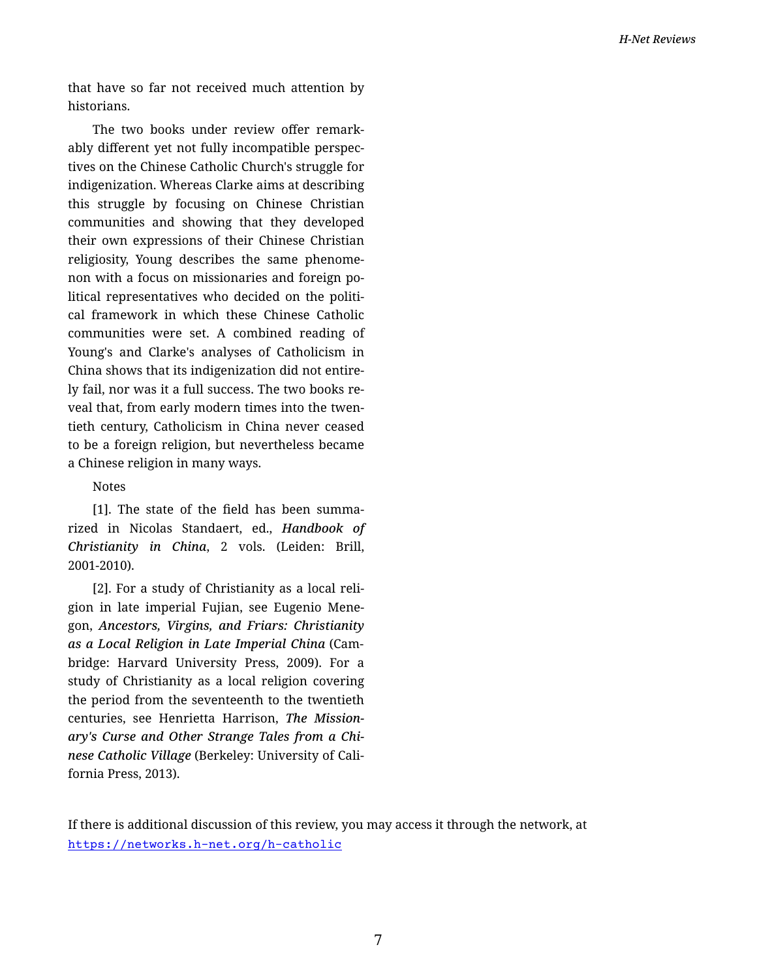that have so far not received much attention by historians.

The two books under review offer remark‐ ably different yet not fully incompatible perspec‐ tives on the Chinese Catholic Church's struggle for indigenization. Whereas Clarke aims at describing this struggle by focusing on Chinese Christian communities and showing that they developed their own expressions of their Chinese Christian religiosity, Young describes the same phenome‐ non with a focus on missionaries and foreign po‐ litical representatives who decided on the politi‐ cal framework in which these Chinese Catholic communities were set. A combined reading of Young's and Clarke's analyses of Catholicism in China shows that its indigenization did not entire‐ ly fail, nor was it a full success. The two books re‐ veal that, from early modern times into the twen‐ tieth century, Catholicism in China never ceased to be a foreign religion, but nevertheless became a Chinese religion in many ways.

## Notes

[1]. The state of the field has been summa‐ rized in Nicolas Standaert, ed., *Handbook of Christianity in China*, 2 vols. (Leiden: Brill, 2001-2010).

[2]. For a study of Christianity as a local reli‐ gion in late imperial Fujian, see Eugenio Mene‐ gon, *Ancestors, Virgins, and Friars: Christianity as a Local Religion in Late Imperial China* (Cam‐ bridge: Harvard University Press, 2009). For a study of Christianity as a local religion covering the period from the seventeenth to the twentieth centuries, see Henrietta Harrison, *The Mission‐ ary's Curse and Other Strange Tales from a Chi‐ nese Catholic Village* (Berkeley: University of Cali‐ fornia Press, 2013).

If there is additional discussion of this review, you may access it through the network, at <https://networks.h-net.org/h-catholic>